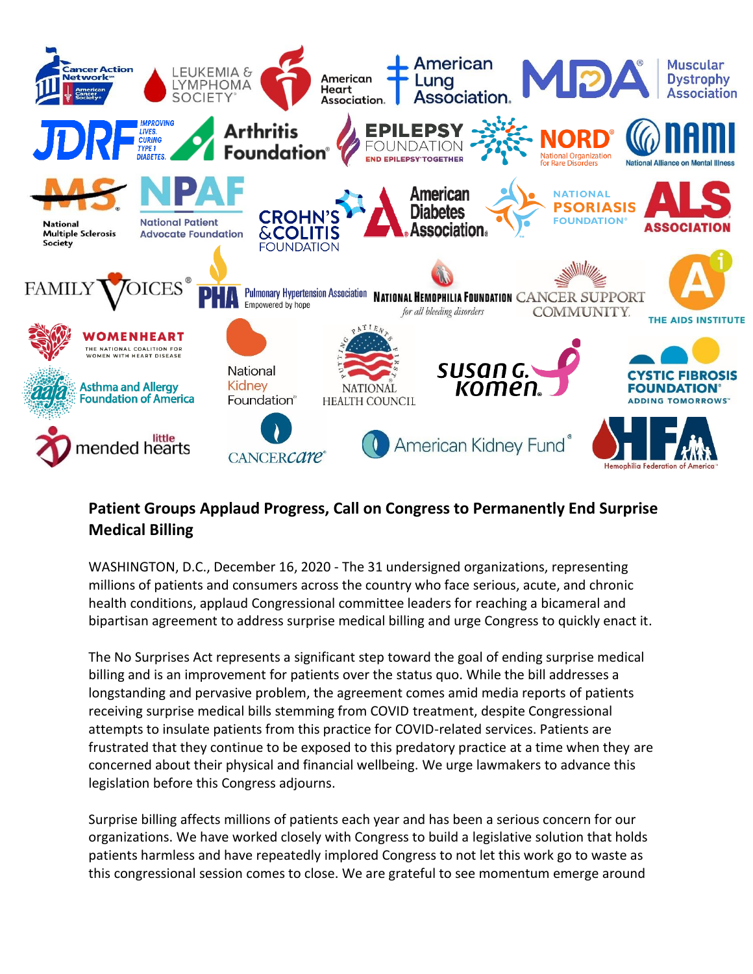

## **Patient Groups Applaud Progress, Call on Congress to Permanently End Surprise Medical Billing**

WASHINGTON, D.C., December 16, 2020 - The 31 undersigned organizations, representing millions of patients and consumers across the country who face serious, acute, and chronic health conditions, applaud Congressional committee leaders for reaching a bicameral and bipartisan agreement to address surprise medical billing and urge Congress to quickly enact it.

The No Surprises Act represents a significant step toward the goal of ending surprise medical billing and is an improvement for patients over the status quo. While the bill addresses a longstanding and pervasive problem, the agreement comes amid media reports of patients receiving surprise medical bills stemming from COVID treatment, despite Congressional attempts to insulate patients from this practice for COVID-related services. Patients are frustrated that they continue to be exposed to this predatory practice at a time when they are concerned about their physical and financial wellbeing. We urge lawmakers to advance this legislation before this Congress adjourns.

Surprise billing affects millions of patients each year and has been a serious concern for our organizations. We have worked closely with Congress to build a legislative solution that holds patients harmless and have repeatedly implored Congress to not let this work go to waste as this congressional session comes to close. We are grateful to see momentum emerge around